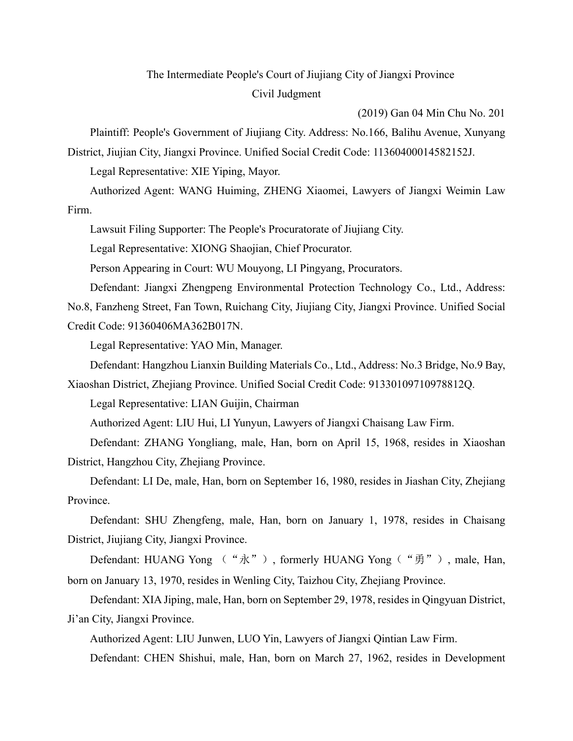## The Intermediate People's Court of Jiujiang City of Jiangxi Province Civil Judgment

(2019) Gan 04 Min Chu No. 201

Plaintiff: People's Government of Jiujiang City. Address: No.166, Balihu Avenue, Xunyang District, Jiujian City, Jiangxi Province. Unified Social Credit Code: 11360400014582152J.

Legal Representative: XIE Yiping, Mayor.

Authorized Agent: WANG Huiming, ZHENG Xiaomei, Lawyers of Jiangxi Weimin Law Firm.

Lawsuit Filing Supporter: The People's Procuratorate of Jiujiang City.

Legal Representative: XIONG Shaojian, Chief Procurator.

Person Appearing in Court: WU Mouyong, LI Pingyang, Procurators.

Defendant: Jiangxi Zhengpeng Environmental Protection Technology Co., Ltd., Address: No.8, Fanzheng Street, Fan Town, Ruichang City, Jiujiang City, Jiangxi Province. Unified Social Credit Code: 91360406MA362B017N.

Legal Representative: YAO Min, Manager.

Defendant: Hangzhou Lianxin Building Materials Co., Ltd., Address: No.3 Bridge, No.9 Bay,

Xiaoshan District, Zhejiang Province. Unified Social Credit Code: 91330109710978812Q.

Legal Representative: LIAN Guijin, Chairman

Authorized Agent: LIU Hui, LI Yunyun, Lawyers of Jiangxi Chaisang Law Firm.

Defendant: ZHANG Yongliang, male, Han, born on April 15, 1968, resides in Xiaoshan District, Hangzhou City, Zhejiang Province.

Defendant: LI De, male, Han, born on September 16, 1980, resides in Jiashan City, Zhejiang Province.

Defendant: SHU Zhengfeng, male, Han, born on January 1, 1978, resides in Chaisang District, Jiujiang City, Jiangxi Province.

Defendant: HUANG Yong ("永"), formerly HUANG Yong ("勇"), male, Han, born on January 13, 1970, resides in Wenling City, Taizhou City, Zhejiang Province.

Defendant: XIA Jiping, male, Han, born on September 29, 1978, resides in Qingyuan District, Ji'an City, Jiangxi Province.

Authorized Agent: LIU Junwen, LUO Yin, Lawyers of Jiangxi Qintian Law Firm.

Defendant: CHEN Shishui, male, Han, born on March 27, 1962, resides in Development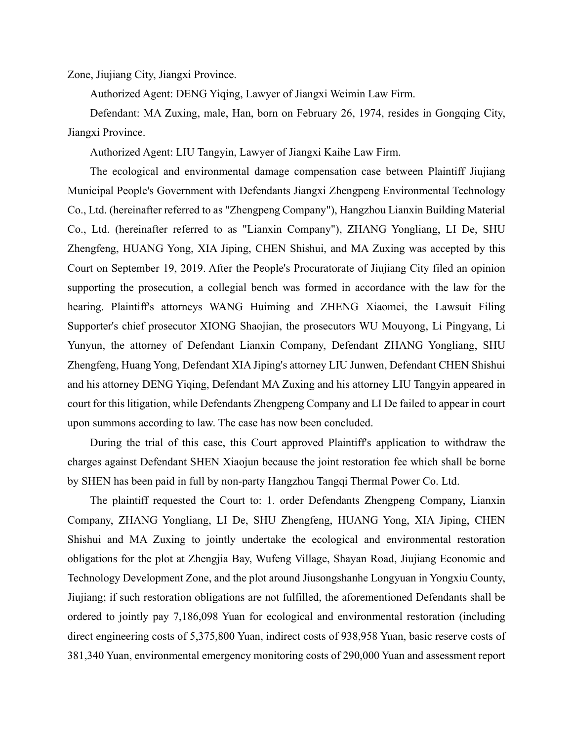Zone, Jiujiang City, Jiangxi Province.

Authorized Agent: DENG Yiqing, Lawyer of Jiangxi Weimin Law Firm.

Defendant: MA Zuxing, male, Han, born on February 26, 1974, resides in Gongqing City, Jiangxi Province.

Authorized Agent: LIU Tangyin, Lawyer of Jiangxi Kaihe Law Firm.

The ecological and environmental damage compensation case between Plaintiff Jiujiang Municipal People's Government with Defendants Jiangxi Zhengpeng Environmental Technology Co., Ltd. (hereinafter referred to as "Zhengpeng Company"), Hangzhou Lianxin Building Material Co., Ltd. (hereinafter referred to as "Lianxin Company"), ZHANG Yongliang, LI De, SHU Zhengfeng, HUANG Yong, XIA Jiping, CHEN Shishui, and MA Zuxing was accepted by this Court on September 19, 2019. After the People's Procuratorate of Jiujiang City filed an opinion supporting the prosecution, a collegial bench was formed in accordance with the law for the hearing. Plaintiff's attorneys WANG Huiming and ZHENG Xiaomei, the Lawsuit Filing Supporter's chief prosecutor XIONG Shaojian, the prosecutors WU Mouyong, Li Pingyang, Li Yunyun, the attorney of Defendant Lianxin Company, Defendant ZHANG Yongliang, SHU Zhengfeng, Huang Yong, Defendant XIA Jiping's attorney LIU Junwen, Defendant CHEN Shishui and his attorney DENG Yiqing, Defendant MA Zuxing and his attorney LIU Tangyin appeared in court for this litigation, while Defendants Zhengpeng Company and LI De failed to appear in court upon summons according to law. The case has now been concluded.

During the trial of this case, this Court approved Plaintiff's application to withdraw the charges against Defendant SHEN Xiaojun because the joint restoration fee which shall be borne by SHEN has been paid in full by non-party Hangzhou Tangqi Thermal Power Co. Ltd.

The plaintiff requested the Court to: 1. order Defendants Zhengpeng Company, Lianxin Company, ZHANG Yongliang, LI De, SHU Zhengfeng, HUANG Yong, XIA Jiping, CHEN Shishui and MA Zuxing to jointly undertake the ecological and environmental restoration obligations for the plot at Zhengjia Bay, Wufeng Village, Shayan Road, Jiujiang Economic and Technology Development Zone, and the plot around Jiusongshanhe Longyuan in Yongxiu County, Jiujiang; if such restoration obligations are not fulfilled, the aforementioned Defendants shall be ordered to jointly pay 7,186,098 Yuan for ecological and environmental restoration (including direct engineering costs of 5,375,800 Yuan, indirect costs of 938,958 Yuan, basic reserve costs of 381,340 Yuan, environmental emergency monitoring costs of 290,000 Yuan and assessment report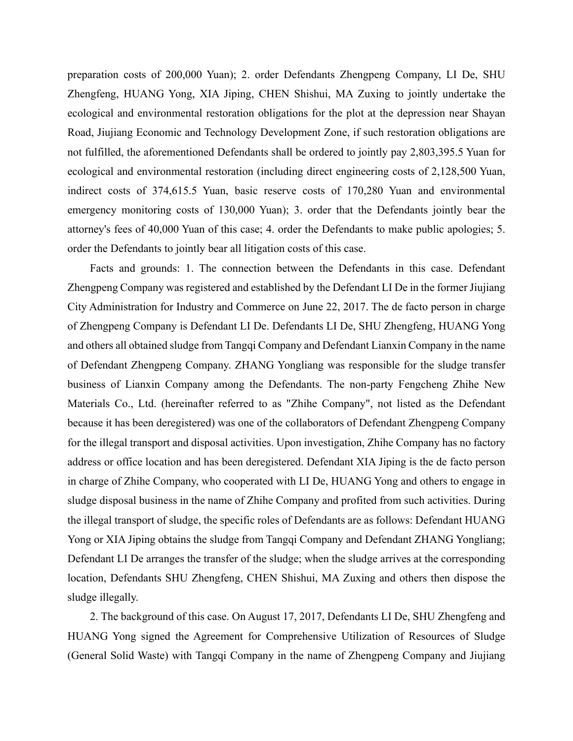preparation costs of 200,000 Yuan); 2. order Defendants Zhengpeng Company, LI De, SHU Zhengfeng, HUANG Yong, XIA Jiping, CHEN Shishui, MA Zuxing to jointly undertake the ecological and environmental restoration obligations for the plot at the depression near Shayan Road, Jiujiang Economic and Technology Development Zone, if such restoration obligations are not fulfilled, the aforementioned Defendants shall be ordered to jointly pay 2,803,395.5 Yuan for ecological and environmental restoration (including direct engineering costs of 2,128,500 Yuan, indirect costs of 374,615.5 Yuan, basic reserve costs of 170,280 Yuan and environmental emergency monitoring costs of 130,000 Yuan); 3. order that the Defendants jointly bear the attorney's fees of 40,000 Yuan of this case; 4. order the Defendants to make public apologies; 5. order the Defendants to jointly bear all litigation costs of this case.

Facts and grounds: 1. The connection between the Defendants in this case. Defendant Zhengpeng Company was registered and established by the Defendant LI De in the former Jiujiang City Administration for Industry and Commerce on June 22, 2017. The de facto person in charge of Zhengpeng Company is Defendant LI De. Defendants LI De, SHU Zhengfeng, HUANG Yong and others all obtained sludge from Tangqi Company and Defendant Lianxin Company in the name of Defendant Zhengpeng Company. ZHANG Yongliang was responsible for the sludge transfer business of Lianxin Company among the Defendants. The non-party Fengcheng Zhihe New Materials Co., Ltd. (hereinafter referred to as "Zhihe Company", not listed as the Defendant because it has been deregistered) was one of the collaborators of Defendant Zhengpeng Company for the illegal transport and disposal activities. Upon investigation, Zhihe Company has no factory address or office location and has been deregistered. Defendant XIA Jiping is the de facto person in charge of Zhihe Company, who cooperated with LI De, HUANG Yong and others to engage in sludge disposal business in the name of Zhihe Company and profited from such activities. During the illegal transport of sludge, the specific roles of Defendants are as follows: Defendant HUANG Yong or XIA Jiping obtains the sludge from Tangqi Company and Defendant ZHANG Yongliang; Defendant LI De arranges the transfer of the sludge; when the sludge arrives at the corresponding location, Defendants SHU Zhengfeng, CHEN Shishui, MA Zuxing and others then dispose the sludge illegally.

2. The background of this case. On August 17, 2017, Defendants LI De, SHU Zhengfeng and HUANG Yong signed the Agreement for Comprehensive Utilization of Resources of Sludge (General Solid Waste) with Tangqi Company in the name of Zhengpeng Company and Jiujiang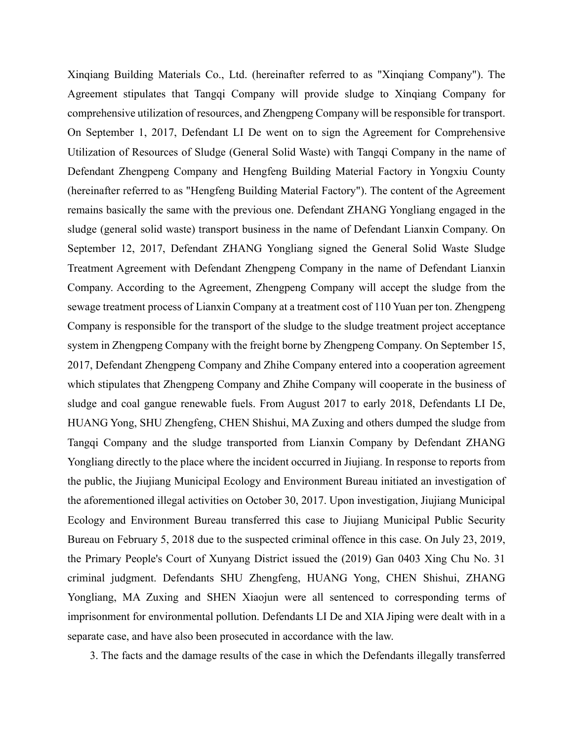Xinqiang Building Materials Co., Ltd. (hereinafter referred to as "Xinqiang Company"). The Agreement stipulates that Tangqi Company will provide sludge to Xinqiang Company for comprehensive utilization of resources, and Zhengpeng Company will be responsible for transport. On September 1, 2017, Defendant LI De went on to sign the Agreement for Comprehensive Utilization of Resources of Sludge (General Solid Waste) with Tangqi Company in the name of Defendant Zhengpeng Company and Hengfeng Building Material Factory in Yongxiu County (hereinafter referred to as "Hengfeng Building Material Factory"). The content of the Agreement remains basically the same with the previous one. Defendant ZHANG Yongliang engaged in the sludge (general solid waste) transport business in the name of Defendant Lianxin Company. On September 12, 2017, Defendant ZHANG Yongliang signed the General Solid Waste Sludge Treatment Agreement with Defendant Zhengpeng Company in the name of Defendant Lianxin Company. According to the Agreement, Zhengpeng Company will accept the sludge from the sewage treatment process of Lianxin Company at a treatment cost of 110 Yuan per ton. Zhengpeng Company is responsible for the transport of the sludge to the sludge treatment project acceptance system in Zhengpeng Company with the freight borne by Zhengpeng Company. On September 15, 2017, Defendant Zhengpeng Company and Zhihe Company entered into a cooperation agreement which stipulates that Zhengpeng Company and Zhihe Company will cooperate in the business of sludge and coal gangue renewable fuels. From August 2017 to early 2018, Defendants LI De, HUANG Yong, SHU Zhengfeng, CHEN Shishui, MA Zuxing and others dumped the sludge from Tangqi Company and the sludge transported from Lianxin Company by Defendant ZHANG Yongliang directly to the place where the incident occurred in Jiujiang. In response to reports from the public, the Jiujiang Municipal Ecology and Environment Bureau initiated an investigation of the aforementioned illegal activities on October 30, 2017. Upon investigation, Jiujiang Municipal Ecology and Environment Bureau transferred this case to Jiujiang Municipal Public Security Bureau on February 5, 2018 due to the suspected criminal offence in this case. On July 23, 2019, the Primary People's Court of Xunyang District issued the (2019) Gan 0403 Xing Chu No. 31 criminal judgment. Defendants SHU Zhengfeng, HUANG Yong, CHEN Shishui, ZHANG Yongliang, MA Zuxing and SHEN Xiaojun were all sentenced to corresponding terms of imprisonment for environmental pollution. Defendants LI De and XIA Jiping were dealt with in a separate case, and have also been prosecuted in accordance with the law.

3. The facts and the damage results of the case in which the Defendants illegally transferred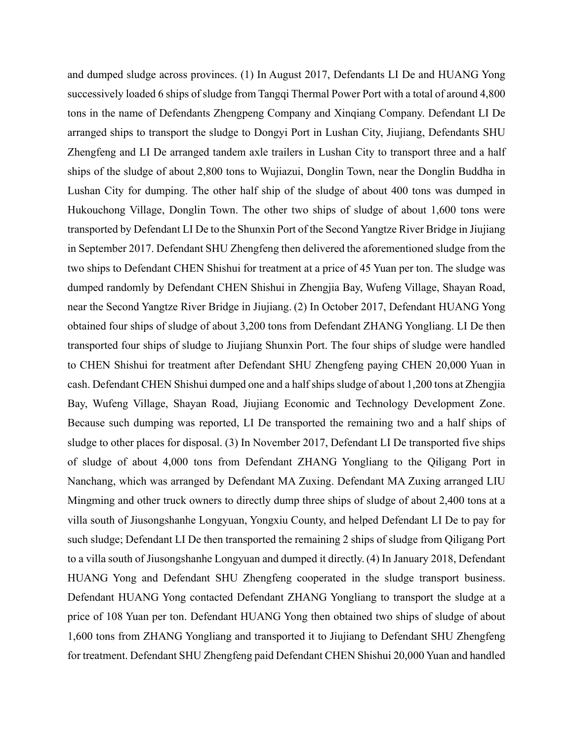and dumped sludge across provinces. (1) In August 2017, Defendants LI De and HUANG Yong successively loaded 6 ships of sludge from Tangqi Thermal Power Port with a total of around 4,800 tons in the name of Defendants Zhengpeng Company and Xinqiang Company. Defendant LI De arranged ships to transport the sludge to Dongyi Port in Lushan City, Jiujiang, Defendants SHU Zhengfeng and LI De arranged tandem axle trailers in Lushan City to transport three and a half ships of the sludge of about 2,800 tons to Wujiazui, Donglin Town, near the Donglin Buddha in Lushan City for dumping. The other half ship of the sludge of about 400 tons was dumped in Hukouchong Village, Donglin Town. The other two ships of sludge of about 1,600 tons were transported by Defendant LI De to the Shunxin Port of the Second Yangtze River Bridge in Jiujiang in September 2017. Defendant SHU Zhengfeng then delivered the aforementioned sludge from the two ships to Defendant CHEN Shishui for treatment at a price of 45 Yuan per ton. The sludge was dumped randomly by Defendant CHEN Shishui in Zhengjia Bay, Wufeng Village, Shayan Road, near the Second Yangtze River Bridge in Jiujiang. (2) In October 2017, Defendant HUANG Yong obtained four ships of sludge of about 3,200 tons from Defendant ZHANG Yongliang. LI De then transported four ships of sludge to Jiujiang Shunxin Port. The four ships of sludge were handled to CHEN Shishui for treatment after Defendant SHU Zhengfeng paying CHEN 20,000 Yuan in cash. Defendant CHEN Shishui dumped one and a half ships sludge of about 1,200 tons at Zhengjia Bay, Wufeng Village, Shayan Road, Jiujiang Economic and Technology Development Zone. Because such dumping was reported, LI De transported the remaining two and a half ships of sludge to other places for disposal. (3) In November 2017, Defendant LI De transported five ships of sludge of about 4,000 tons from Defendant ZHANG Yongliang to the Qiligang Port in Nanchang, which was arranged by Defendant MA Zuxing. Defendant MA Zuxing arranged LIU Mingming and other truck owners to directly dump three ships of sludge of about 2,400 tons at a villa south of Jiusongshanhe Longyuan, Yongxiu County, and helped Defendant LI De to pay for such sludge; Defendant LI De then transported the remaining 2 ships of sludge from Qiligang Port to a villa south of Jiusongshanhe Longyuan and dumped it directly. (4) In January 2018, Defendant HUANG Yong and Defendant SHU Zhengfeng cooperated in the sludge transport business. Defendant HUANG Yong contacted Defendant ZHANG Yongliang to transport the sludge at a price of 108 Yuan per ton. Defendant HUANG Yong then obtained two ships of sludge of about 1,600 tons from ZHANG Yongliang and transported it to Jiujiang to Defendant SHU Zhengfeng for treatment. Defendant SHU Zhengfeng paid Defendant CHEN Shishui 20,000 Yuan and handled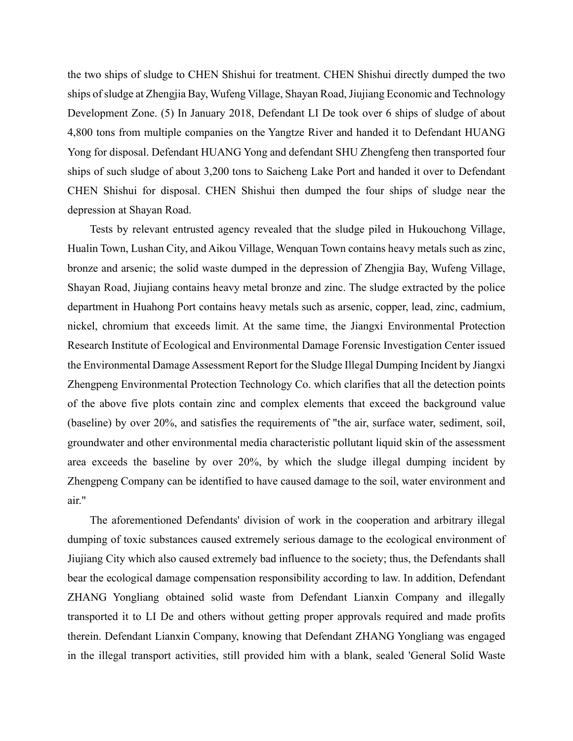the two ships of sludge to CHEN Shishui for treatment. CHEN Shishui directly dumped the two ships of sludge at Zhengjia Bay, Wufeng Village, Shayan Road, Jiujiang Economic and Technology Development Zone. (5) In January 2018, Defendant LI De took over 6 ships of sludge of about 4,800 tons from multiple companies on the Yangtze River and handed it to Defendant HUANG Yong for disposal. Defendant HUANG Yong and defendant SHU Zhengfeng then transported four ships of such sludge of about 3,200 tons to Saicheng Lake Port and handed it over to Defendant CHEN Shishui for disposal. CHEN Shishui then dumped the four ships of sludge near the depression at Shayan Road.

Tests by relevant entrusted agency revealed that the sludge piled in Hukouchong Village, Hualin Town, Lushan City, and Aikou Village, Wenquan Town contains heavy metals such as zinc, bronze and arsenic; the solid waste dumped in the depression of Zhengjia Bay, Wufeng Village, Shayan Road, Jiujiang contains heavy metal bronze and zinc. The sludge extracted by the police department in Huahong Port contains heavy metals such as arsenic, copper, lead, zinc, cadmium, nickel, chromium that exceeds limit. At the same time, the Jiangxi Environmental Protection Research Institute of Ecological and Environmental Damage Forensic Investigation Center issued the Environmental Damage Assessment Report for the Sludge Illegal Dumping Incident by Jiangxi Zhengpeng Environmental Protection Technology Co. which clarifies that all the detection points of the above five plots contain zinc and complex elements that exceed the background value (baseline) by over 20%, and satisfies the requirements of "the air, surface water, sediment, soil, groundwater and other environmental media characteristic pollutant liquid skin of the assessment area exceeds the baseline by over 20%, by which the sludge illegal dumping incident by Zhengpeng Company can be identified to have caused damage to the soil, water environment and air."

The aforementioned Defendants' division of work in the cooperation and arbitrary illegal dumping of toxic substances caused extremely serious damage to the ecological environment of Jiujiang City which also caused extremely bad influence to the society; thus, the Defendants shall bear the ecological damage compensation responsibility according to law. In addition, Defendant ZHANG Yongliang obtained solid waste from Defendant Lianxin Company and illegally transported it to LI De and others without getting proper approvals required and made profits therein. Defendant Lianxin Company, knowing that Defendant ZHANG Yongliang was engaged in the illegal transport activities, still provided him with a blank, sealed 'General Solid Waste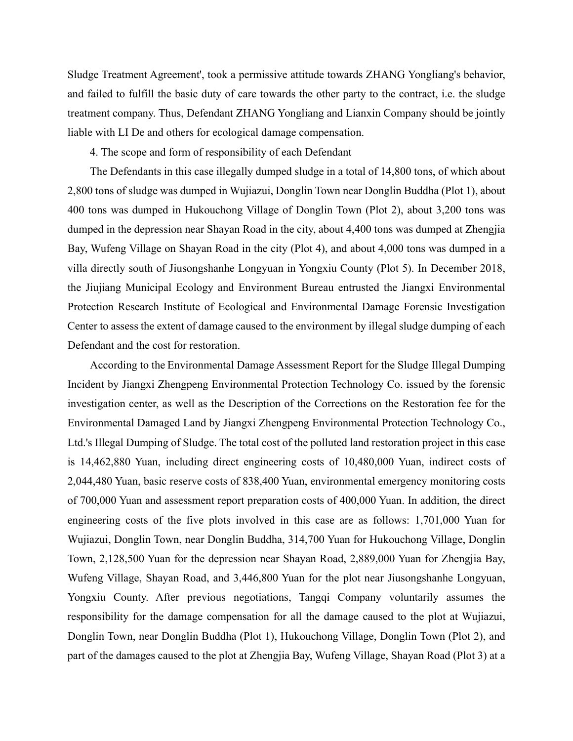Sludge Treatment Agreement', took a permissive attitude towards ZHANG Yongliang's behavior, and failed to fulfill the basic duty of care towards the other party to the contract, i.e. the sludge treatment company. Thus, Defendant ZHANG Yongliang and Lianxin Company should be jointly liable with LI De and others for ecological damage compensation.

4. The scope and form of responsibility of each Defendant

The Defendants in this case illegally dumped sludge in a total of 14,800 tons, of which about 2,800 tons of sludge was dumped in Wujiazui, Donglin Town near Donglin Buddha (Plot 1), about 400 tons was dumped in Hukouchong Village of Donglin Town (Plot 2), about 3,200 tons was dumped in the depression near Shayan Road in the city, about 4,400 tons was dumped at Zhengjia Bay, Wufeng Village on Shayan Road in the city (Plot 4), and about 4,000 tons was dumped in a villa directly south of Jiusongshanhe Longyuan in Yongxiu County (Plot 5). In December 2018, the Jiujiang Municipal Ecology and Environment Bureau entrusted the Jiangxi Environmental Protection Research Institute of Ecological and Environmental Damage Forensic Investigation Center to assess the extent of damage caused to the environment by illegal sludge dumping of each Defendant and the cost for restoration.

According to the Environmental Damage Assessment Report for the Sludge Illegal Dumping Incident by Jiangxi Zhengpeng Environmental Protection Technology Co. issued by the forensic investigation center, as well as the Description of the Corrections on the Restoration fee for the Environmental Damaged Land by Jiangxi Zhengpeng Environmental Protection Technology Co., Ltd.'s Illegal Dumping of Sludge. The total cost of the polluted land restoration project in this case is 14,462,880 Yuan, including direct engineering costs of 10,480,000 Yuan, indirect costs of 2,044,480 Yuan, basic reserve costs of 838,400 Yuan, environmental emergency monitoring costs of 700,000 Yuan and assessment report preparation costs of 400,000 Yuan. In addition, the direct engineering costs of the five plots involved in this case are as follows: 1,701,000 Yuan for Wujiazui, Donglin Town, near Donglin Buddha, 314,700 Yuan for Hukouchong Village, Donglin Town, 2,128,500 Yuan for the depression near Shayan Road, 2,889,000 Yuan for Zhengjia Bay, Wufeng Village, Shayan Road, and 3,446,800 Yuan for the plot near Jiusongshanhe Longyuan, Yongxiu County. After previous negotiations, Tangqi Company voluntarily assumes the responsibility for the damage compensation for all the damage caused to the plot at Wujiazui, Donglin Town, near Donglin Buddha (Plot 1), Hukouchong Village, Donglin Town (Plot 2), and part of the damages caused to the plot at Zhengjia Bay, Wufeng Village, Shayan Road (Plot 3) at a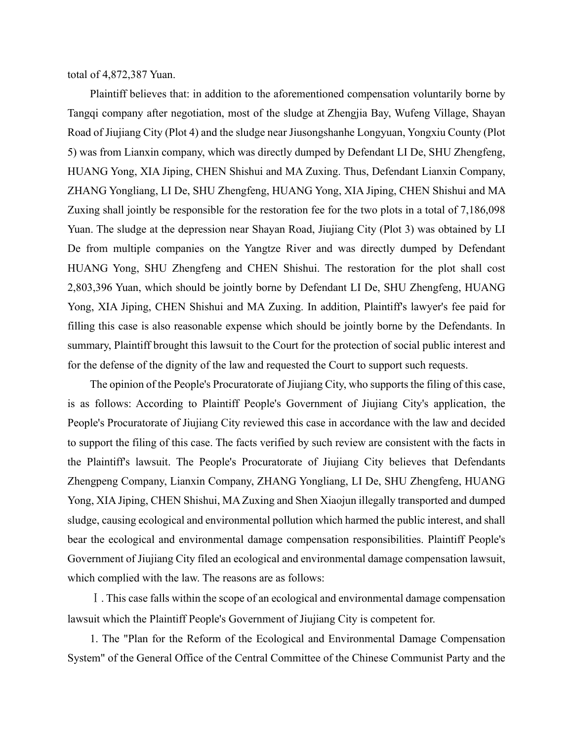total of 4,872,387 Yuan.

Plaintiff believes that: in addition to the aforementioned compensation voluntarily borne by Tangqi company after negotiation, most of the sludge at Zhengjia Bay, Wufeng Village, Shayan Road of Jiujiang City (Plot 4) and the sludge near Jiusongshanhe Longyuan, Yongxiu County (Plot 5) was from Lianxin company, which was directly dumped by Defendant LI De, SHU Zhengfeng, HUANG Yong, XIA Jiping, CHEN Shishui and MA Zuxing. Thus, Defendant Lianxin Company, ZHANG Yongliang, LI De, SHU Zhengfeng, HUANG Yong, XIA Jiping, CHEN Shishui and MA Zuxing shall jointly be responsible for the restoration fee for the two plots in a total of 7,186,098 Yuan. The sludge at the depression near Shayan Road, Jiujiang City (Plot 3) was obtained by LI De from multiple companies on the Yangtze River and was directly dumped by Defendant HUANG Yong, SHU Zhengfeng and CHEN Shishui. The restoration for the plot shall cost 2,803,396 Yuan, which should be jointly borne by Defendant LI De, SHU Zhengfeng, HUANG Yong, XIA Jiping, CHEN Shishui and MA Zuxing. In addition, Plaintiff's lawyer's fee paid for filling this case is also reasonable expense which should be jointly borne by the Defendants. In summary, Plaintiff brought this lawsuit to the Court for the protection of social public interest and for the defense of the dignity of the law and requested the Court to support such requests.

The opinion of the People's Procuratorate of Jiujiang City, who supports the filing of this case, is as follows: According to Plaintiff People's Government of Jiujiang City's application, the People's Procuratorate of Jiujiang City reviewed this case in accordance with the law and decided to support the filing of this case. The facts verified by such review are consistent with the facts in the Plaintiff's lawsuit. The People's Procuratorate of Jiujiang City believes that Defendants Zhengpeng Company, Lianxin Company, ZHANG Yongliang, LI De, SHU Zhengfeng, HUANG Yong, XIA Jiping, CHEN Shishui, MA Zuxing and Shen Xiaojun illegally transported and dumped sludge, causing ecological and environmental pollution which harmed the public interest, and shall bear the ecological and environmental damage compensation responsibilities. Plaintiff People's Government of Jiujiang City filed an ecological and environmental damage compensation lawsuit, which complied with the law. The reasons are as follows:

Ⅰ. This case falls within the scope of an ecological and environmental damage compensation lawsuit which the Plaintiff People's Government of Jiujiang City is competent for.

1. The "Plan for the Reform of the Ecological and Environmental Damage Compensation System" of the General Office of the Central Committee of the Chinese Communist Party and the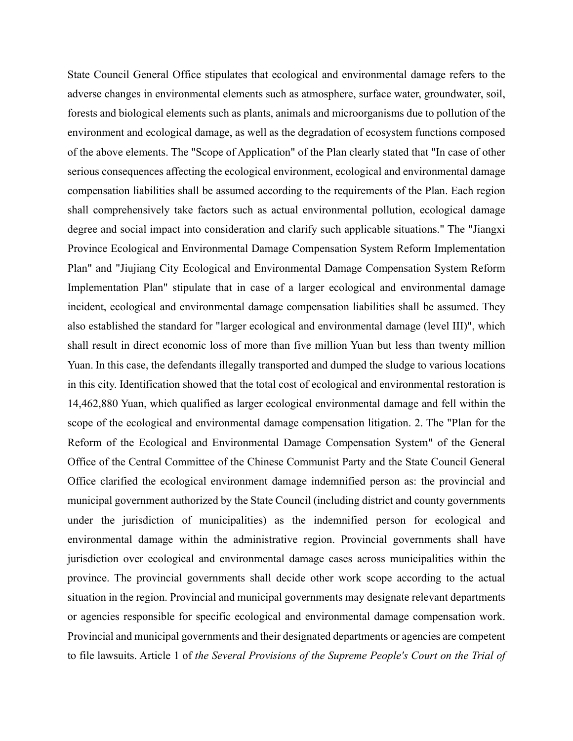State Council General Office stipulates that ecological and environmental damage refers to the adverse changes in environmental elements such as atmosphere, surface water, groundwater, soil, forests and biological elements such as plants, animals and microorganisms due to pollution of the environment and ecological damage, as well as the degradation of ecosystem functions composed of the above elements. The "Scope of Application" of the Plan clearly stated that "In case of other serious consequences affecting the ecological environment, ecological and environmental damage compensation liabilities shall be assumed according to the requirements of the Plan. Each region shall comprehensively take factors such as actual environmental pollution, ecological damage degree and social impact into consideration and clarify such applicable situations." The "Jiangxi Province Ecological and Environmental Damage Compensation System Reform Implementation Plan" and "Jiujiang City Ecological and Environmental Damage Compensation System Reform Implementation Plan" stipulate that in case of a larger ecological and environmental damage incident, ecological and environmental damage compensation liabilities shall be assumed. They also established the standard for "larger ecological and environmental damage (level III)", which shall result in direct economic loss of more than five million Yuan but less than twenty million Yuan. In this case, the defendants illegally transported and dumped the sludge to various locations in this city. Identification showed that the total cost of ecological and environmental restoration is 14,462,880 Yuan, which qualified as larger ecological environmental damage and fell within the scope of the ecological and environmental damage compensation litigation. 2. The "Plan for the Reform of the Ecological and Environmental Damage Compensation System" of the General Office of the Central Committee of the Chinese Communist Party and the State Council General Office clarified the ecological environment damage indemnified person as: the provincial and municipal government authorized by the State Council (including district and county governments under the jurisdiction of municipalities) as the indemnified person for ecological and environmental damage within the administrative region. Provincial governments shall have jurisdiction over ecological and environmental damage cases across municipalities within the province. The provincial governments shall decide other work scope according to the actual situation in the region. Provincial and municipal governments may designate relevant departments or agencies responsible for specific ecological and environmental damage compensation work. Provincial and municipal governments and their designated departments or agencies are competent to file lawsuits. Article 1 of *the Several Provisions of the Supreme People's Court on the Trial of*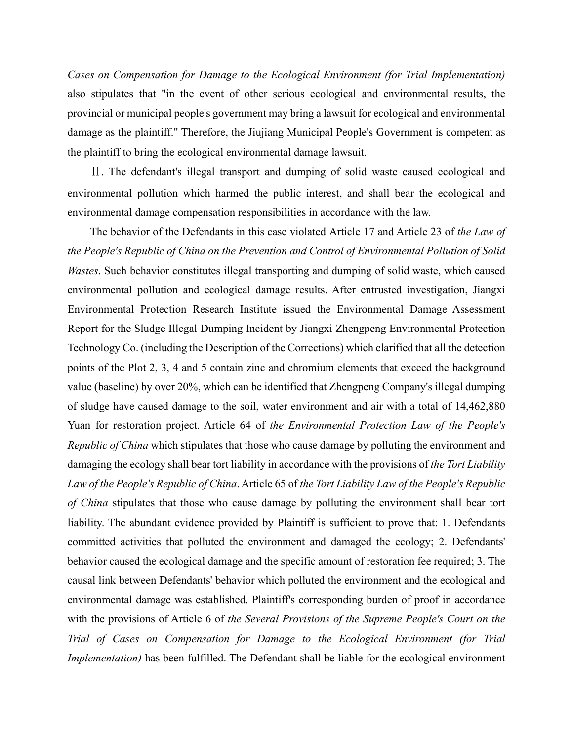*Cases on Compensation for Damage to the Ecological Environment (for Trial Implementation)* also stipulates that "in the event of other serious ecological and environmental results, the provincial or municipal people's government may bring a lawsuit for ecological and environmental damage as the plaintiff." Therefore, the Jiujiang Municipal People's Government is competent as the plaintiff to bring the ecological environmental damage lawsuit.

Ⅱ. The defendant's illegal transport and dumping of solid waste caused ecological and environmental pollution which harmed the public interest, and shall bear the ecological and environmental damage compensation responsibilities in accordance with the law.

The behavior of the Defendants in this case violated Article 17 and Article 23 of *the Law of the People's Republic of China on the Prevention and Control of Environmental Pollution of Solid Wastes*. Such behavior constitutes illegal transporting and dumping of solid waste, which caused environmental pollution and ecological damage results. After entrusted investigation, Jiangxi Environmental Protection Research Institute issued the Environmental Damage Assessment Report for the Sludge Illegal Dumping Incident by Jiangxi Zhengpeng Environmental Protection Technology Co. (including the Description of the Corrections) which clarified that all the detection points of the Plot 2, 3, 4 and 5 contain zinc and chromium elements that exceed the background value (baseline) by over 20%, which can be identified that Zhengpeng Company's illegal dumping of sludge have caused damage to the soil, water environment and air with a total of 14,462,880 Yuan for restoration project. Article 64 of *the Environmental Protection Law of the People's Republic of China* which stipulates that those who cause damage by polluting the environment and damaging the ecology shall bear tort liability in accordance with the provisions of *the Tort Liability Law of the People's Republic of China*. Article 65 of *the Tort Liability Law of the People's Republic of China* stipulates that those who cause damage by polluting the environment shall bear tort liability. The abundant evidence provided by Plaintiff is sufficient to prove that: 1. Defendants committed activities that polluted the environment and damaged the ecology; 2. Defendants' behavior caused the ecological damage and the specific amount of restoration fee required; 3. The causal link between Defendants' behavior which polluted the environment and the ecological and environmental damage was established. Plaintiff's corresponding burden of proof in accordance with the provisions of Article 6 of *the Several Provisions of the Supreme People's Court on the Trial of Cases on Compensation for Damage to the Ecological Environment (for Trial Implementation)* has been fulfilled. The Defendant shall be liable for the ecological environment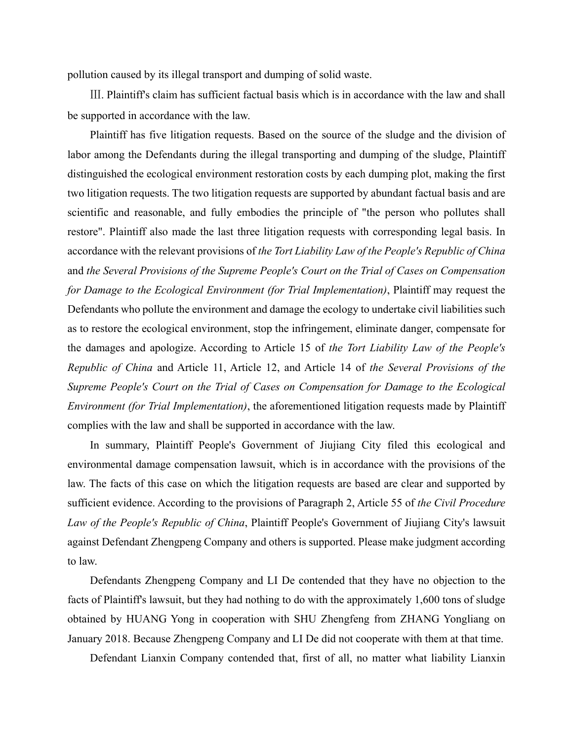pollution caused by its illegal transport and dumping of solid waste.

Ⅲ. Plaintiff's claim has sufficient factual basis which is in accordance with the law and shall be supported in accordance with the law.

Plaintiff has five litigation requests. Based on the source of the sludge and the division of labor among the Defendants during the illegal transporting and dumping of the sludge, Plaintiff distinguished the ecological environment restoration costs by each dumping plot, making the first two litigation requests. The two litigation requests are supported by abundant factual basis and are scientific and reasonable, and fully embodies the principle of "the person who pollutes shall restore". Plaintiff also made the last three litigation requests with corresponding legal basis. In accordance with the relevant provisions of *the Tort Liability Law of the People's Republic of China* and *the Several Provisions of the Supreme People's Court on the Trial of Cases on Compensation for Damage to the Ecological Environment (for Trial Implementation)*, Plaintiff may request the Defendants who pollute the environment and damage the ecology to undertake civil liabilities such as to restore the ecological environment, stop the infringement, eliminate danger, compensate for the damages and apologize. According to Article 15 of *the Tort Liability Law of the People's Republic of China* and Article 11, Article 12, and Article 14 of *the Several Provisions of the Supreme People's Court on the Trial of Cases on Compensation for Damage to the Ecological Environment (for Trial Implementation)*, the aforementioned litigation requests made by Plaintiff complies with the law and shall be supported in accordance with the law.

In summary, Plaintiff People's Government of Jiujiang City filed this ecological and environmental damage compensation lawsuit, which is in accordance with the provisions of the law. The facts of this case on which the litigation requests are based are clear and supported by sufficient evidence. According to the provisions of Paragraph 2, Article 55 of *the Civil Procedure Law of the People's Republic of China*, Plaintiff People's Government of Jiujiang City's lawsuit against Defendant Zhengpeng Company and others is supported. Please make judgment according to law.

Defendants Zhengpeng Company and LI De contended that they have no objection to the facts of Plaintiff's lawsuit, but they had nothing to do with the approximately 1,600 tons of sludge obtained by HUANG Yong in cooperation with SHU Zhengfeng from ZHANG Yongliang on January 2018. Because Zhengpeng Company and LI De did not cooperate with them at that time.

Defendant Lianxin Company contended that, first of all, no matter what liability Lianxin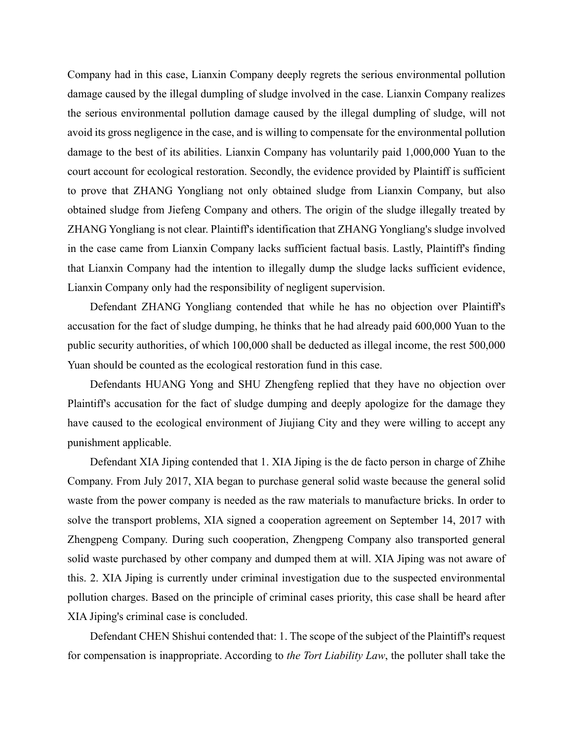Company had in this case, Lianxin Company deeply regrets the serious environmental pollution damage caused by the illegal dumpling of sludge involved in the case. Lianxin Company realizes the serious environmental pollution damage caused by the illegal dumpling of sludge, will not avoid its gross negligence in the case, and is willing to compensate for the environmental pollution damage to the best of its abilities. Lianxin Company has voluntarily paid 1,000,000 Yuan to the court account for ecological restoration. Secondly, the evidence provided by Plaintiff is sufficient to prove that ZHANG Yongliang not only obtained sludge from Lianxin Company, but also obtained sludge from Jiefeng Company and others. The origin of the sludge illegally treated by ZHANG Yongliang is not clear. Plaintiff's identification that ZHANG Yongliang's sludge involved in the case came from Lianxin Company lacks sufficient factual basis. Lastly, Plaintiff's finding that Lianxin Company had the intention to illegally dump the sludge lacks sufficient evidence, Lianxin Company only had the responsibility of negligent supervision.

Defendant ZHANG Yongliang contended that while he has no objection over Plaintiff's accusation for the fact of sludge dumping, he thinks that he had already paid 600,000 Yuan to the public security authorities, of which 100,000 shall be deducted as illegal income, the rest 500,000 Yuan should be counted as the ecological restoration fund in this case.

Defendants HUANG Yong and SHU Zhengfeng replied that they have no objection over Plaintiff's accusation for the fact of sludge dumping and deeply apologize for the damage they have caused to the ecological environment of Jiujiang City and they were willing to accept any punishment applicable.

Defendant XIA Jiping contended that 1. XIA Jiping is the de facto person in charge of Zhihe Company. From July 2017, XIA began to purchase general solid waste because the general solid waste from the power company is needed as the raw materials to manufacture bricks. In order to solve the transport problems, XIA signed a cooperation agreement on September 14, 2017 with Zhengpeng Company. During such cooperation, Zhengpeng Company also transported general solid waste purchased by other company and dumped them at will. XIA Jiping was not aware of this. 2. XIA Jiping is currently under criminal investigation due to the suspected environmental pollution charges. Based on the principle of criminal cases priority, this case shall be heard after XIA Jiping's criminal case is concluded.

Defendant CHEN Shishui contended that: 1. The scope of the subject of the Plaintiff's request for compensation is inappropriate. According to *the Tort Liability Law*, the polluter shall take the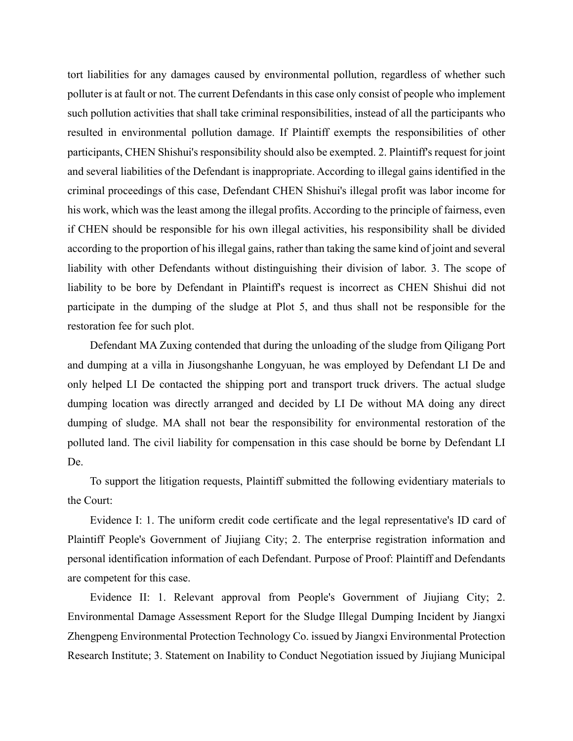tort liabilities for any damages caused by environmental pollution, regardless of whether such polluter is at fault or not. The current Defendants in this case only consist of people who implement such pollution activities that shall take criminal responsibilities, instead of all the participants who resulted in environmental pollution damage. If Plaintiff exempts the responsibilities of other participants, CHEN Shishui's responsibility should also be exempted. 2. Plaintiff's request for joint and several liabilities of the Defendant is inappropriate. According to illegal gains identified in the criminal proceedings of this case, Defendant CHEN Shishui's illegal profit was labor income for his work, which was the least among the illegal profits. According to the principle of fairness, even if CHEN should be responsible for his own illegal activities, his responsibility shall be divided according to the proportion of his illegal gains, rather than taking the same kind of joint and several liability with other Defendants without distinguishing their division of labor. 3. The scope of liability to be bore by Defendant in Plaintiff's request is incorrect as CHEN Shishui did not participate in the dumping of the sludge at Plot 5, and thus shall not be responsible for the restoration fee for such plot.

Defendant MA Zuxing contended that during the unloading of the sludge from Qiligang Port and dumping at a villa in Jiusongshanhe Longyuan, he was employed by Defendant LI De and only helped LI De contacted the shipping port and transport truck drivers. The actual sludge dumping location was directly arranged and decided by LI De without MA doing any direct dumping of sludge. MA shall not bear the responsibility for environmental restoration of the polluted land. The civil liability for compensation in this case should be borne by Defendant LI De.

To support the litigation requests, Plaintiff submitted the following evidentiary materials to the Court:

Evidence I: 1. The uniform credit code certificate and the legal representative's ID card of Plaintiff People's Government of Jiujiang City; 2. The enterprise registration information and personal identification information of each Defendant. Purpose of Proof: Plaintiff and Defendants are competent for this case.

Evidence II: 1. Relevant approval from People's Government of Jiujiang City; 2. Environmental Damage Assessment Report for the Sludge Illegal Dumping Incident by Jiangxi Zhengpeng Environmental Protection Technology Co. issued by Jiangxi Environmental Protection Research Institute; 3. Statement on Inability to Conduct Negotiation issued by Jiujiang Municipal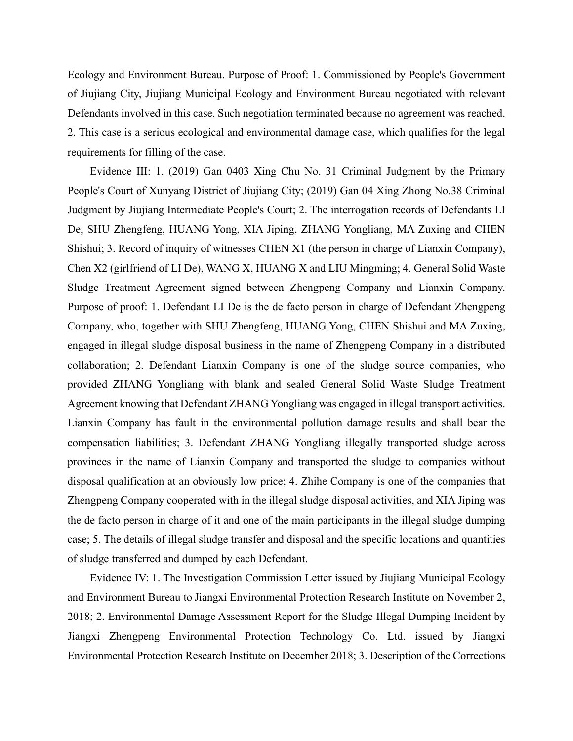Ecology and Environment Bureau. Purpose of Proof: 1. Commissioned by People's Government of Jiujiang City, Jiujiang Municipal Ecology and Environment Bureau negotiated with relevant Defendants involved in this case. Such negotiation terminated because no agreement was reached. 2. This case is a serious ecological and environmental damage case, which qualifies for the legal requirements for filling of the case.

Evidence III: 1. (2019) Gan 0403 Xing Chu No. 31 Criminal Judgment by the Primary People's Court of Xunyang District of Jiujiang City; (2019) Gan 04 Xing Zhong No.38 Criminal Judgment by Jiujiang Intermediate People's Court; 2. The interrogation records of Defendants LI De, SHU Zhengfeng, HUANG Yong, XIA Jiping, ZHANG Yongliang, MA Zuxing and CHEN Shishui; 3. Record of inquiry of witnesses CHEN X1 (the person in charge of Lianxin Company), Chen X2 (girlfriend of LI De), WANG X, HUANG X and LIU Mingming; 4. General Solid Waste Sludge Treatment Agreement signed between Zhengpeng Company and Lianxin Company. Purpose of proof: 1. Defendant LI De is the de facto person in charge of Defendant Zhengpeng Company, who, together with SHU Zhengfeng, HUANG Yong, CHEN Shishui and MA Zuxing, engaged in illegal sludge disposal business in the name of Zhengpeng Company in a distributed collaboration; 2. Defendant Lianxin Company is one of the sludge source companies, who provided ZHANG Yongliang with blank and sealed General Solid Waste Sludge Treatment Agreement knowing that Defendant ZHANG Yongliang was engaged in illegal transport activities. Lianxin Company has fault in the environmental pollution damage results and shall bear the compensation liabilities; 3. Defendant ZHANG Yongliang illegally transported sludge across provinces in the name of Lianxin Company and transported the sludge to companies without disposal qualification at an obviously low price; 4. Zhihe Company is one of the companies that Zhengpeng Company cooperated with in the illegal sludge disposal activities, and XIA Jiping was the de facto person in charge of it and one of the main participants in the illegal sludge dumping case; 5. The details of illegal sludge transfer and disposal and the specific locations and quantities of sludge transferred and dumped by each Defendant.

Evidence IV: 1. The Investigation Commission Letter issued by Jiujiang Municipal Ecology and Environment Bureau to Jiangxi Environmental Protection Research Institute on November 2, 2018; 2. Environmental Damage Assessment Report for the Sludge Illegal Dumping Incident by Jiangxi Zhengpeng Environmental Protection Technology Co. Ltd. issued by Jiangxi Environmental Protection Research Institute on December 2018; 3. Description of the Corrections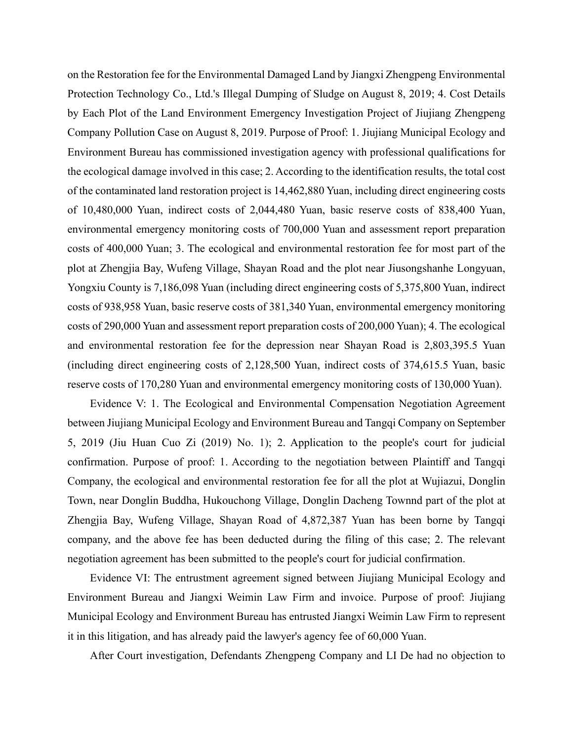on the Restoration fee for the Environmental Damaged Land by Jiangxi Zhengpeng Environmental Protection Technology Co., Ltd.'s Illegal Dumping of Sludge on August 8, 2019; 4. Cost Details by Each Plot of the Land Environment Emergency Investigation Project of Jiujiang Zhengpeng Company Pollution Case on August 8, 2019. Purpose of Proof: 1. Jiujiang Municipal Ecology and Environment Bureau has commissioned investigation agency with professional qualifications for the ecological damage involved in this case; 2. According to the identification results, the total cost of the contaminated land restoration project is 14,462,880 Yuan, including direct engineering costs of 10,480,000 Yuan, indirect costs of 2,044,480 Yuan, basic reserve costs of 838,400 Yuan, environmental emergency monitoring costs of 700,000 Yuan and assessment report preparation costs of 400,000 Yuan; 3. The ecological and environmental restoration fee for most part of the plot at Zhengjia Bay, Wufeng Village, Shayan Road and the plot near Jiusongshanhe Longyuan, Yongxiu County is 7,186,098 Yuan (including direct engineering costs of 5,375,800 Yuan, indirect costs of 938,958 Yuan, basic reserve costs of 381,340 Yuan, environmental emergency monitoring costs of 290,000 Yuan and assessment report preparation costs of 200,000 Yuan); 4. The ecological and environmental restoration fee for the depression near Shayan Road is 2,803,395.5 Yuan (including direct engineering costs of 2,128,500 Yuan, indirect costs of 374,615.5 Yuan, basic reserve costs of 170,280 Yuan and environmental emergency monitoring costs of 130,000 Yuan).

Evidence V: 1. The Ecological and Environmental Compensation Negotiation Agreement between Jiujiang Municipal Ecology and Environment Bureau and Tangqi Company on September 5, 2019 (Jiu Huan Cuo Zi (2019) No. 1); 2. Application to the people's court for judicial confirmation. Purpose of proof: 1. According to the negotiation between Plaintiff and Tangqi Company, the ecological and environmental restoration fee for all the plot at Wujiazui, Donglin Town, near Donglin Buddha, Hukouchong Village, Donglin Dacheng Townnd part of the plot at Zhengjia Bay, Wufeng Village, Shayan Road of 4,872,387 Yuan has been borne by Tangqi company, and the above fee has been deducted during the filing of this case; 2. The relevant negotiation agreement has been submitted to the people's court for judicial confirmation.

Evidence VI: The entrustment agreement signed between Jiujiang Municipal Ecology and Environment Bureau and Jiangxi Weimin Law Firm and invoice. Purpose of proof: Jiujiang Municipal Ecology and Environment Bureau has entrusted Jiangxi Weimin Law Firm to represent it in this litigation, and has already paid the lawyer's agency fee of 60,000 Yuan.

After Court investigation, Defendants Zhengpeng Company and LI De had no objection to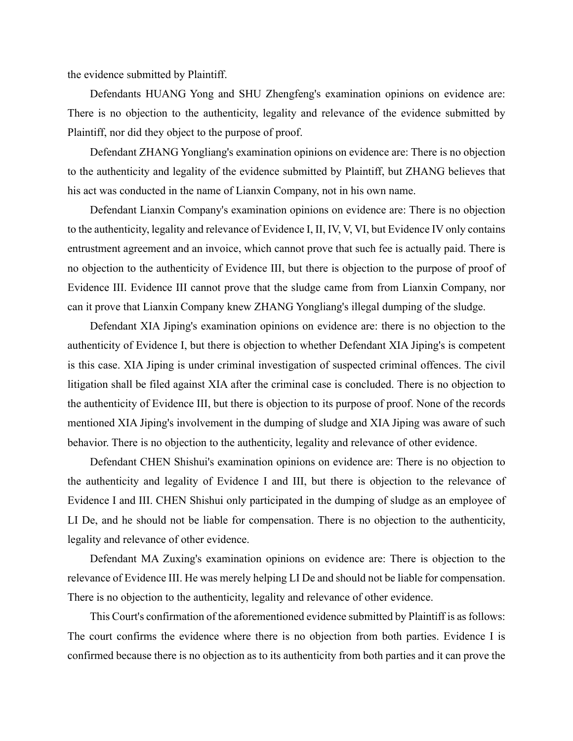the evidence submitted by Plaintiff.

Defendants HUANG Yong and SHU Zhengfeng's examination opinions on evidence are: There is no objection to the authenticity, legality and relevance of the evidence submitted by Plaintiff, nor did they object to the purpose of proof.

Defendant ZHANG Yongliang's examination opinions on evidence are: There is no objection to the authenticity and legality of the evidence submitted by Plaintiff, but ZHANG believes that his act was conducted in the name of Lianxin Company, not in his own name.

Defendant Lianxin Company's examination opinions on evidence are: There is no objection to the authenticity, legality and relevance of Evidence I, II, IV, V, VI, but Evidence IV only contains entrustment agreement and an invoice, which cannot prove that such fee is actually paid. There is no objection to the authenticity of Evidence III, but there is objection to the purpose of proof of Evidence III. Evidence III cannot prove that the sludge came from from Lianxin Company, nor can it prove that Lianxin Company knew ZHANG Yongliang's illegal dumping of the sludge.

Defendant XIA Jiping's examination opinions on evidence are: there is no objection to the authenticity of Evidence I, but there is objection to whether Defendant XIA Jiping's is competent is this case. XIA Jiping is under criminal investigation of suspected criminal offences. The civil litigation shall be filed against XIA after the criminal case is concluded. There is no objection to the authenticity of Evidence III, but there is objection to its purpose of proof. None of the records mentioned XIA Jiping's involvement in the dumping of sludge and XIA Jiping was aware of such behavior. There is no objection to the authenticity, legality and relevance of other evidence.

Defendant CHEN Shishui's examination opinions on evidence are: There is no objection to the authenticity and legality of Evidence I and III, but there is objection to the relevance of Evidence I and III. CHEN Shishui only participated in the dumping of sludge as an employee of LI De, and he should not be liable for compensation. There is no objection to the authenticity, legality and relevance of other evidence.

Defendant MA Zuxing's examination opinions on evidence are: There is objection to the relevance of Evidence III. He was merely helping LI De and should not be liable for compensation. There is no objection to the authenticity, legality and relevance of other evidence.

This Court's confirmation of the aforementioned evidence submitted by Plaintiff is as follows: The court confirms the evidence where there is no objection from both parties. Evidence I is confirmed because there is no objection as to its authenticity from both parties and it can prove the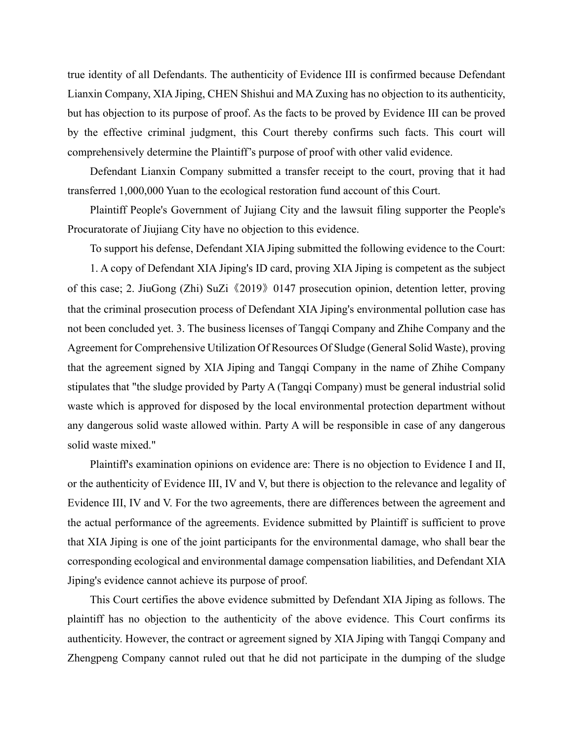true identity of all Defendants. The authenticity of Evidence III is confirmed because Defendant Lianxin Company, XIA Jiping, CHEN Shishui and MA Zuxing has no objection to its authenticity, but has objection to its purpose of proof. As the facts to be proved by Evidence III can be proved by the effective criminal judgment, this Court thereby confirms such facts. This court will comprehensively determine the Plaintiff's purpose of proof with other valid evidence.

Defendant Lianxin Company submitted a transfer receipt to the court, proving that it had transferred 1,000,000 Yuan to the ecological restoration fund account of this Court.

Plaintiff People's Government of Jujiang City and the lawsuit filing supporter the People's Procuratorate of Jiujiang City have no objection to this evidence.

To support his defense, Defendant XIA Jiping submitted the following evidence to the Court: 1. A copy of Defendant XIA Jiping's ID card, proving XIA Jiping is competent as the subject of this case; 2. JiuGong (Zhi) SuZi《2019》0147 prosecution opinion, detention letter, proving that the criminal prosecution process of Defendant XIA Jiping's environmental pollution case has not been concluded yet. 3. The business licenses of Tangqi Company and Zhihe Company and the Agreement for Comprehensive Utilization Of Resources Of Sludge (General Solid Waste), proving that the agreement signed by XIA Jiping and Tangqi Company in the name of Zhihe Company stipulates that "the sludge provided by Party A (Tangqi Company) must be general industrial solid waste which is approved for disposed by the local environmental protection department without any dangerous solid waste allowed within. Party A will be responsible in case of any dangerous solid waste mixed."

Plaintiff's examination opinions on evidence are: There is no objection to Evidence I and II, or the authenticity of Evidence III, IV and V, but there is objection to the relevance and legality of Evidence III, IV and V. For the two agreements, there are differences between the agreement and the actual performance of the agreements. Evidence submitted by Plaintiff is sufficient to prove that XIA Jiping is one of the joint participants for the environmental damage, who shall bear the corresponding ecological and environmental damage compensation liabilities, and Defendant XIA Jiping's evidence cannot achieve its purpose of proof.

This Court certifies the above evidence submitted by Defendant XIA Jiping as follows. The plaintiff has no objection to the authenticity of the above evidence. This Court confirms its authenticity. However, the contract or agreement signed by XIA Jiping with Tangqi Company and Zhengpeng Company cannot ruled out that he did not participate in the dumping of the sludge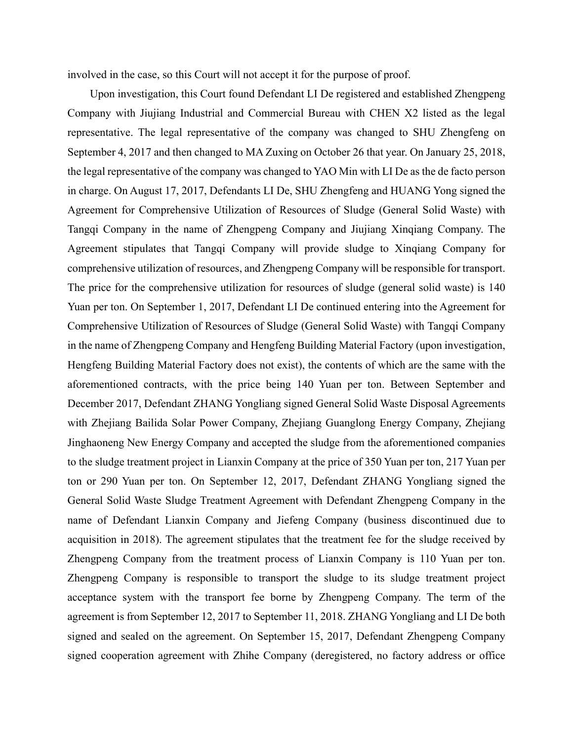involved in the case, so this Court will not accept it for the purpose of proof.

Upon investigation, this Court found Defendant LI De registered and established Zhengpeng Company with Jiujiang Industrial and Commercial Bureau with CHEN X2 listed as the legal representative. The legal representative of the company was changed to SHU Zhengfeng on September 4, 2017 and then changed to MA Zuxing on October 26 that year. On January 25, 2018, the legal representative of the company was changed to YAO Min with LI De as the de facto person in charge. On August 17, 2017, Defendants LI De, SHU Zhengfeng and HUANG Yong signed the Agreement for Comprehensive Utilization of Resources of Sludge (General Solid Waste) with Tangqi Company in the name of Zhengpeng Company and Jiujiang Xinqiang Company. The Agreement stipulates that Tangqi Company will provide sludge to Xinqiang Company for comprehensive utilization of resources, and Zhengpeng Company will be responsible for transport. The price for the comprehensive utilization for resources of sludge (general solid waste) is 140 Yuan per ton. On September 1, 2017, Defendant LI De continued entering into the Agreement for Comprehensive Utilization of Resources of Sludge (General Solid Waste) with Tangqi Company in the name of Zhengpeng Company and Hengfeng Building Material Factory (upon investigation, Hengfeng Building Material Factory does not exist), the contents of which are the same with the aforementioned contracts, with the price being 140 Yuan per ton. Between September and December 2017, Defendant ZHANG Yongliang signed General Solid Waste Disposal Agreements with Zhejiang Bailida Solar Power Company, Zhejiang Guanglong Energy Company, Zhejiang Jinghaoneng New Energy Company and accepted the sludge from the aforementioned companies to the sludge treatment project in Lianxin Company at the price of 350 Yuan per ton, 217 Yuan per ton or 290 Yuan per ton. On September 12, 2017, Defendant ZHANG Yongliang signed the General Solid Waste Sludge Treatment Agreement with Defendant Zhengpeng Company in the name of Defendant Lianxin Company and Jiefeng Company (business discontinued due to acquisition in 2018). The agreement stipulates that the treatment fee for the sludge received by Zhengpeng Company from the treatment process of Lianxin Company is 110 Yuan per ton. Zhengpeng Company is responsible to transport the sludge to its sludge treatment project acceptance system with the transport fee borne by Zhengpeng Company. The term of the agreement is from September 12, 2017 to September 11, 2018. ZHANG Yongliang and LI De both signed and sealed on the agreement. On September 15, 2017, Defendant Zhengpeng Company signed cooperation agreement with Zhihe Company (deregistered, no factory address or office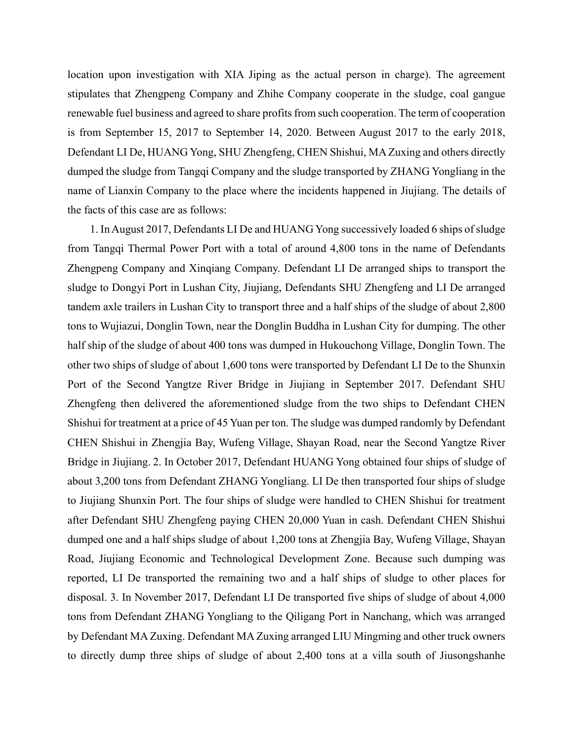location upon investigation with XIA Jiping as the actual person in charge). The agreement stipulates that Zhengpeng Company and Zhihe Company cooperate in the sludge, coal gangue renewable fuel business and agreed to share profits from such cooperation. The term of cooperation is from September 15, 2017 to September 14, 2020. Between August 2017 to the early 2018, Defendant LI De, HUANG Yong, SHU Zhengfeng, CHEN Shishui, MA Zuxing and others directly dumped the sludge from Tangqi Company and the sludge transported by ZHANG Yongliang in the name of Lianxin Company to the place where the incidents happened in Jiujiang. The details of the facts of this case are as follows:

1. In August 2017, Defendants LI De and HUANG Yong successively loaded 6 ships of sludge from Tangqi Thermal Power Port with a total of around 4,800 tons in the name of Defendants Zhengpeng Company and Xinqiang Company. Defendant LI De arranged ships to transport the sludge to Dongyi Port in Lushan City, Jiujiang, Defendants SHU Zhengfeng and LI De arranged tandem axle trailers in Lushan City to transport three and a half ships of the sludge of about 2,800 tons to Wujiazui, Donglin Town, near the Donglin Buddha in Lushan City for dumping. The other half ship of the sludge of about 400 tons was dumped in Hukouchong Village, Donglin Town. The other two ships of sludge of about 1,600 tons were transported by Defendant LI De to the Shunxin Port of the Second Yangtze River Bridge in Jiujiang in September 2017. Defendant SHU Zhengfeng then delivered the aforementioned sludge from the two ships to Defendant CHEN Shishui for treatment at a price of 45 Yuan per ton. The sludge was dumped randomly by Defendant CHEN Shishui in Zhengjia Bay, Wufeng Village, Shayan Road, near the Second Yangtze River Bridge in Jiujiang. 2. In October 2017, Defendant HUANG Yong obtained four ships of sludge of about 3,200 tons from Defendant ZHANG Yongliang. LI De then transported four ships of sludge to Jiujiang Shunxin Port. The four ships of sludge were handled to CHEN Shishui for treatment after Defendant SHU Zhengfeng paying CHEN 20,000 Yuan in cash. Defendant CHEN Shishui dumped one and a half ships sludge of about 1,200 tons at Zhengjia Bay, Wufeng Village, Shayan Road, Jiujiang Economic and Technological Development Zone. Because such dumping was reported, LI De transported the remaining two and a half ships of sludge to other places for disposal. 3. In November 2017, Defendant LI De transported five ships of sludge of about 4,000 tons from Defendant ZHANG Yongliang to the Qiligang Port in Nanchang, which was arranged by Defendant MA Zuxing. Defendant MA Zuxing arranged LIU Mingming and other truck owners to directly dump three ships of sludge of about 2,400 tons at a villa south of Jiusongshanhe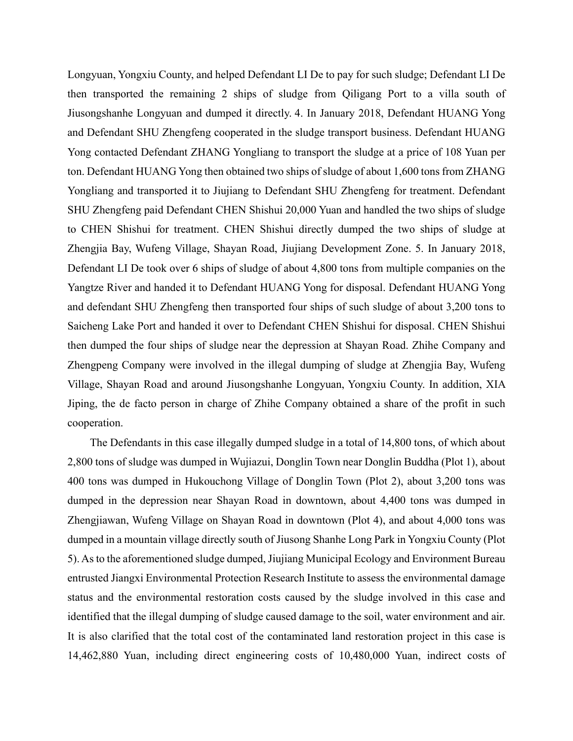Longyuan, Yongxiu County, and helped Defendant LI De to pay for such sludge; Defendant LI De then transported the remaining 2 ships of sludge from Qiligang Port to a villa south of Jiusongshanhe Longyuan and dumped it directly. 4. In January 2018, Defendant HUANG Yong and Defendant SHU Zhengfeng cooperated in the sludge transport business. Defendant HUANG Yong contacted Defendant ZHANG Yongliang to transport the sludge at a price of 108 Yuan per ton. Defendant HUANG Yong then obtained two ships of sludge of about 1,600 tons from ZHANG Yongliang and transported it to Jiujiang to Defendant SHU Zhengfeng for treatment. Defendant SHU Zhengfeng paid Defendant CHEN Shishui 20,000 Yuan and handled the two ships of sludge to CHEN Shishui for treatment. CHEN Shishui directly dumped the two ships of sludge at Zhengjia Bay, Wufeng Village, Shayan Road, Jiujiang Development Zone. 5. In January 2018, Defendant LI De took over 6 ships of sludge of about 4,800 tons from multiple companies on the Yangtze River and handed it to Defendant HUANG Yong for disposal. Defendant HUANG Yong and defendant SHU Zhengfeng then transported four ships of such sludge of about 3,200 tons to Saicheng Lake Port and handed it over to Defendant CHEN Shishui for disposal. CHEN Shishui then dumped the four ships of sludge near the depression at Shayan Road. Zhihe Company and Zhengpeng Company were involved in the illegal dumping of sludge at Zhengjia Bay, Wufeng Village, Shayan Road and around Jiusongshanhe Longyuan, Yongxiu County. In addition, XIA Jiping, the de facto person in charge of Zhihe Company obtained a share of the profit in such cooperation.

The Defendants in this case illegally dumped sludge in a total of 14,800 tons, of which about 2,800 tons of sludge was dumped in Wujiazui, Donglin Town near Donglin Buddha (Plot 1), about 400 tons was dumped in Hukouchong Village of Donglin Town (Plot 2), about 3,200 tons was dumped in the depression near Shayan Road in downtown, about 4,400 tons was dumped in Zhengjiawan, Wufeng Village on Shayan Road in downtown (Plot 4), and about 4,000 tons was dumped in a mountain village directly south of Jiusong Shanhe Long Park in Yongxiu County (Plot 5). As to the aforementioned sludge dumped, Jiujiang Municipal Ecology and Environment Bureau entrusted Jiangxi Environmental Protection Research Institute to assess the environmental damage status and the environmental restoration costs caused by the sludge involved in this case and identified that the illegal dumping of sludge caused damage to the soil, water environment and air. It is also clarified that the total cost of the contaminated land restoration project in this case is 14,462,880 Yuan, including direct engineering costs of 10,480,000 Yuan, indirect costs of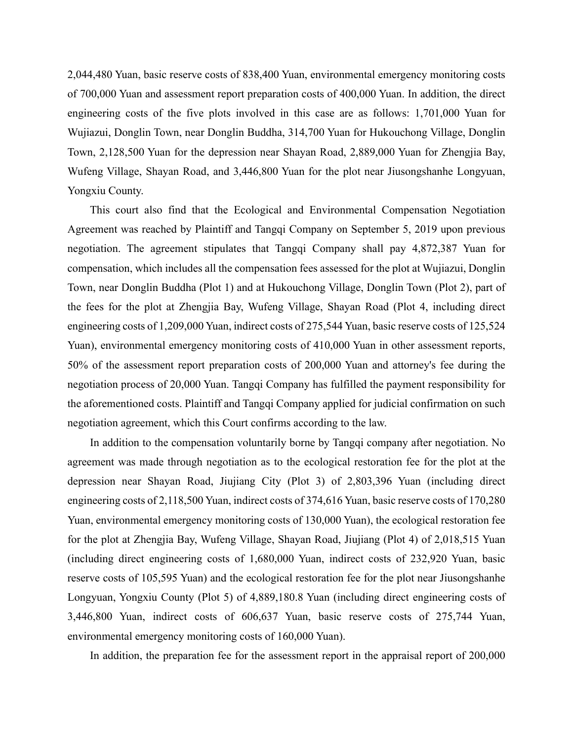2,044,480 Yuan, basic reserve costs of 838,400 Yuan, environmental emergency monitoring costs of 700,000 Yuan and assessment report preparation costs of 400,000 Yuan. In addition, the direct engineering costs of the five plots involved in this case are as follows: 1,701,000 Yuan for Wujiazui, Donglin Town, near Donglin Buddha, 314,700 Yuan for Hukouchong Village, Donglin Town, 2,128,500 Yuan for the depression near Shayan Road, 2,889,000 Yuan for Zhengjia Bay, Wufeng Village, Shayan Road, and 3,446,800 Yuan for the plot near Jiusongshanhe Longyuan, Yongxiu County.

This court also find that the Ecological and Environmental Compensation Negotiation Agreement was reached by Plaintiff and Tangqi Company on September 5, 2019 upon previous negotiation. The agreement stipulates that Tangqi Company shall pay 4,872,387 Yuan for compensation, which includes all the compensation fees assessed for the plot at Wujiazui, Donglin Town, near Donglin Buddha (Plot 1) and at Hukouchong Village, Donglin Town (Plot 2), part of the fees for the plot at Zhengjia Bay, Wufeng Village, Shayan Road (Plot 4, including direct engineering costs of 1,209,000 Yuan, indirect costs of 275,544 Yuan, basic reserve costs of 125,524 Yuan), environmental emergency monitoring costs of 410,000 Yuan in other assessment reports, 50% of the assessment report preparation costs of 200,000 Yuan and attorney's fee during the negotiation process of 20,000 Yuan. Tangqi Company has fulfilled the payment responsibility for the aforementioned costs. Plaintiff and Tangqi Company applied for judicial confirmation on such negotiation agreement, which this Court confirms according to the law.

In addition to the compensation voluntarily borne by Tangqi company after negotiation. No agreement was made through negotiation as to the ecological restoration fee for the plot at the depression near Shayan Road, Jiujiang City (Plot 3) of 2,803,396 Yuan (including direct engineering costs of 2,118,500 Yuan, indirect costs of 374,616 Yuan, basic reserve costs of 170,280 Yuan, environmental emergency monitoring costs of 130,000 Yuan), the ecological restoration fee for the plot at Zhengjia Bay, Wufeng Village, Shayan Road, Jiujiang (Plot 4) of 2,018,515 Yuan (including direct engineering costs of 1,680,000 Yuan, indirect costs of 232,920 Yuan, basic reserve costs of 105,595 Yuan) and the ecological restoration fee for the plot near Jiusongshanhe Longyuan, Yongxiu County (Plot 5) of 4,889,180.8 Yuan (including direct engineering costs of 3,446,800 Yuan, indirect costs of 606,637 Yuan, basic reserve costs of 275,744 Yuan, environmental emergency monitoring costs of 160,000 Yuan).

In addition, the preparation fee for the assessment report in the appraisal report of 200,000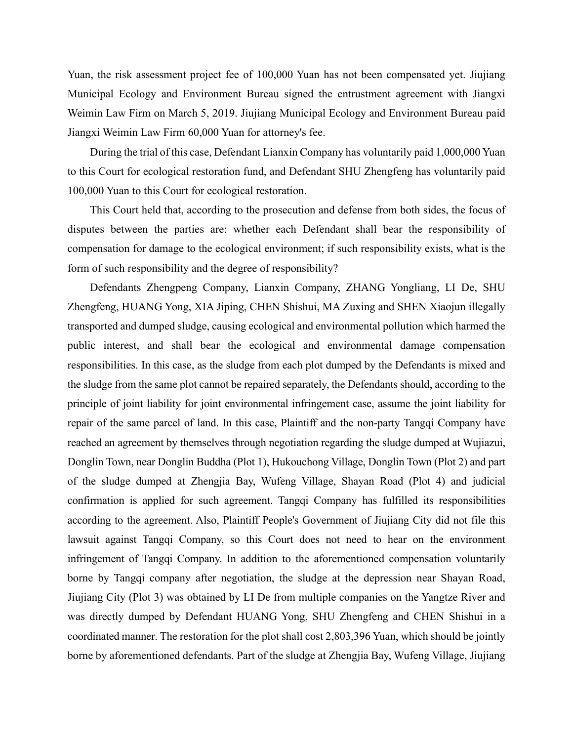Yuan, the risk assessment project fee of 100,000 Yuan has not been compensated yet. Jiujiang Municipal Ecology and Environment Bureau signed the entrustment agreement with Jiangxi Weimin Law Firm on March 5, 2019. Jiujiang Municipal Ecology and Environment Bureau paid Jiangxi Weimin Law Firm 60,000 Yuan for attorney's fee.

During the trial of this case, Defendant Lianxin Company has voluntarily paid 1,000,000 Yuan to this Court for ecological restoration fund, and Defendant SHU Zhengfeng has voluntarily paid 100,000 Yuan to this Court for ecological restoration.

This Court held that, according to the prosecution and defense from both sides, the focus of disputes between the parties are: whether each Defendant shall bear the responsibility of compensation for damage to the ecological environment; if such responsibility exists, what is the form of such responsibility and the degree of responsibility?

Defendants Zhengpeng Company, Lianxin Company, ZHANG Yongliang, LI De, SHU Zhengfeng, HUANG Yong, XIA Jiping, CHEN Shishui, MA Zuxing and SHEN Xiaojun illegally transported and dumped sludge, causing ecological and environmental pollution which harmed the public interest, and shall bear the ecological and environmental damage compensation responsibilities. In this case, as the sludge from each plot dumped by the Defendants is mixed and the sludge from the same plot cannot be repaired separately, the Defendants should, according to the principle of joint liability for joint environmental infringement case, assume the joint liability for repair of the same parcel of land. In this case, Plaintiff and the non-party Tangqi Company have reached an agreement by themselves through negotiation regarding the sludge dumped at Wujiazui, Donglin Town, near Donglin Buddha (Plot 1), Hukouchong Village, Donglin Town (Plot 2) and part of the sludge dumped at Zhengjia Bay, Wufeng Village, Shayan Road (Plot 4) and judicial confirmation is applied for such agreement. Tangqi Company has fulfilled its responsibilities according to the agreement. Also, Plaintiff People's Government of Jiujiang City did not file this lawsuit against Tangqi Company, so this Court does not need to hear on the environment infringement of Tangqi Company. In addition to the aforementioned compensation voluntarily borne by Tangqi company after negotiation, the sludge at the depression near Shayan Road, Jiujiang City (Plot 3) was obtained by LI De from multiple companies on the Yangtze River and was directly dumped by Defendant HUANG Yong, SHU Zhengfeng and CHEN Shishui in a coordinated manner. The restoration for the plot shall cost 2,803,396 Yuan, which should be jointly borne by aforementioned defendants. Part of the sludge at Zhengjia Bay, Wufeng Village, Jiujiang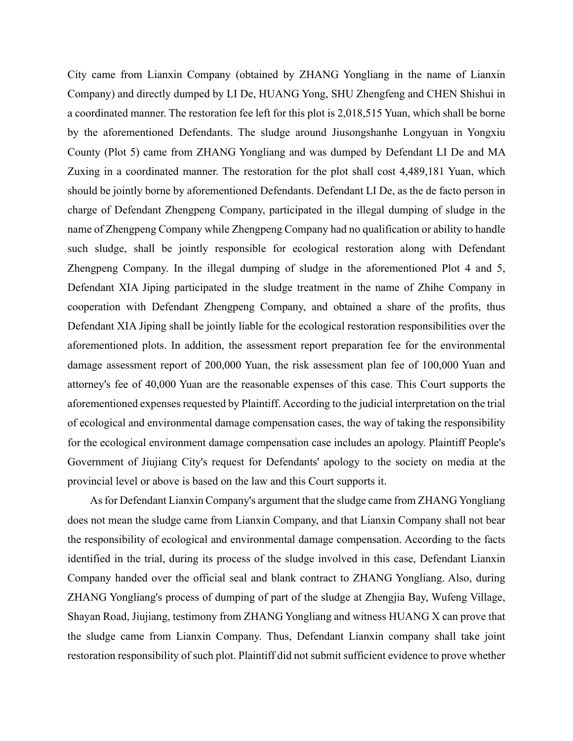City came from Lianxin Company (obtained by ZHANG Yongliang in the name of Lianxin Company) and directly dumped by LI De, HUANG Yong, SHU Zhengfeng and CHEN Shishui in a coordinated manner. The restoration fee left for this plot is 2,018,515 Yuan, which shall be borne by the aforementioned Defendants. The sludge around Jiusongshanhe Longyuan in Yongxiu County (Plot 5) came from ZHANG Yongliang and was dumped by Defendant LI De and MA Zuxing in a coordinated manner. The restoration for the plot shall cost 4,489,181 Yuan, which should be jointly borne by aforementioned Defendants. Defendant LI De, as the de facto person in charge of Defendant Zhengpeng Company, participated in the illegal dumping of sludge in the name of Zhengpeng Company while Zhengpeng Company had no qualification or ability to handle such sludge, shall be jointly responsible for ecological restoration along with Defendant Zhengpeng Company. In the illegal dumping of sludge in the aforementioned Plot 4 and 5, Defendant XIA Jiping participated in the sludge treatment in the name of Zhihe Company in cooperation with Defendant Zhengpeng Company, and obtained a share of the profits, thus Defendant XIA Jiping shall be jointly liable for the ecological restoration responsibilities over the aforementioned plots. In addition, the assessment report preparation fee for the environmental damage assessment report of 200,000 Yuan, the risk assessment plan fee of 100,000 Yuan and attorney's fee of 40,000 Yuan are the reasonable expenses of this case. This Court supports the aforementioned expenses requested by Plaintiff. According to the judicial interpretation on the trial of ecological and environmental damage compensation cases, the way of taking the responsibility for the ecological environment damage compensation case includes an apology. Plaintiff People's Government of Jiujiang City's request for Defendants' apology to the society on media at the provincial level or above is based on the law and this Court supports it.

As for Defendant Lianxin Company's argument that the sludge came from ZHANG Yongliang does not mean the sludge came from Lianxin Company, and that Lianxin Company shall not bear the responsibility of ecological and environmental damage compensation. According to the facts identified in the trial, during its process of the sludge involved in this case, Defendant Lianxin Company handed over the official seal and blank contract to ZHANG Yongliang. Also, during ZHANG Yongliang's process of dumping of part of the sludge at Zhengjia Bay, Wufeng Village, Shayan Road, Jiujiang, testimony from ZHANG Yongliang and witness HUANG X can prove that the sludge came from Lianxin Company. Thus, Defendant Lianxin company shall take joint restoration responsibility of such plot. Plaintiff did not submit sufficient evidence to prove whether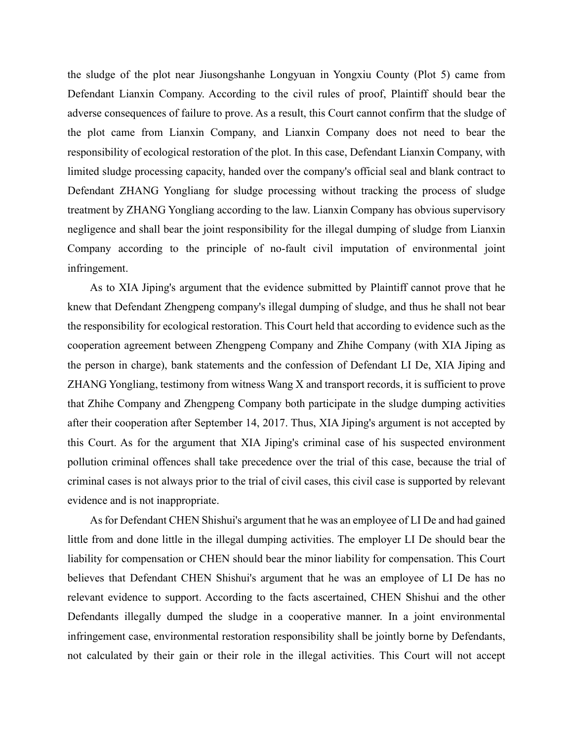the sludge of the plot near Jiusongshanhe Longyuan in Yongxiu County (Plot 5) came from Defendant Lianxin Company. According to the civil rules of proof, Plaintiff should bear the adverse consequences of failure to prove. As a result, this Court cannot confirm that the sludge of the plot came from Lianxin Company, and Lianxin Company does not need to bear the responsibility of ecological restoration of the plot. In this case, Defendant Lianxin Company, with limited sludge processing capacity, handed over the company's official seal and blank contract to Defendant ZHANG Yongliang for sludge processing without tracking the process of sludge treatment by ZHANG Yongliang according to the law. Lianxin Company has obvious supervisory negligence and shall bear the joint responsibility for the illegal dumping of sludge from Lianxin Company according to the principle of no-fault civil imputation of environmental joint infringement.

As to XIA Jiping's argument that the evidence submitted by Plaintiff cannot prove that he knew that Defendant Zhengpeng company's illegal dumping of sludge, and thus he shall not bear the responsibility for ecological restoration. This Court held that according to evidence such as the cooperation agreement between Zhengpeng Company and Zhihe Company (with XIA Jiping as the person in charge), bank statements and the confession of Defendant LI De, XIA Jiping and ZHANG Yongliang, testimony from witness Wang X and transport records, it is sufficient to prove that Zhihe Company and Zhengpeng Company both participate in the sludge dumping activities after their cooperation after September 14, 2017. Thus, XIA Jiping's argument is not accepted by this Court. As for the argument that XIA Jiping's criminal case of his suspected environment pollution criminal offences shall take precedence over the trial of this case, because the trial of criminal cases is not always prior to the trial of civil cases, this civil case is supported by relevant evidence and is not inappropriate.

As for Defendant CHEN Shishui's argument that he was an employee of LI De and had gained little from and done little in the illegal dumping activities. The employer LI De should bear the liability for compensation or CHEN should bear the minor liability for compensation. This Court believes that Defendant CHEN Shishui's argument that he was an employee of LI De has no relevant evidence to support. According to the facts ascertained, CHEN Shishui and the other Defendants illegally dumped the sludge in a cooperative manner. In a joint environmental infringement case, environmental restoration responsibility shall be jointly borne by Defendants, not calculated by their gain or their role in the illegal activities. This Court will not accept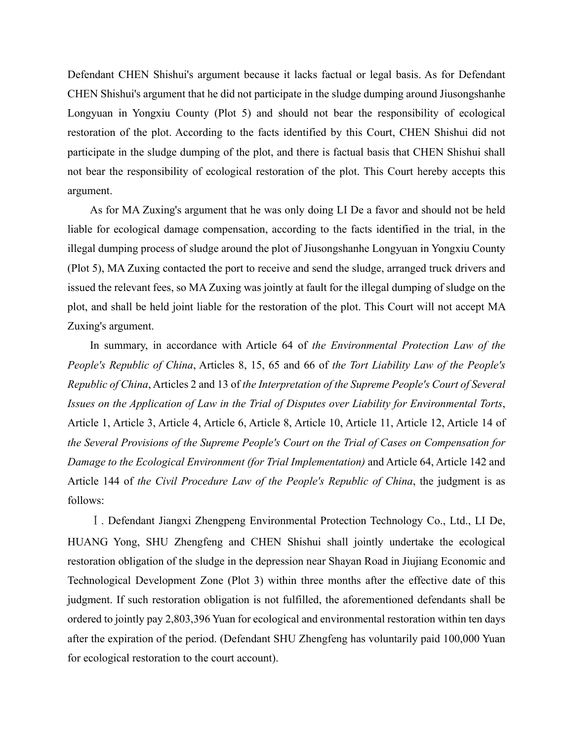Defendant CHEN Shishui's argument because it lacks factual or legal basis. As for Defendant CHEN Shishui's argument that he did not participate in the sludge dumping around Jiusongshanhe Longyuan in Yongxiu County (Plot 5) and should not bear the responsibility of ecological restoration of the plot. According to the facts identified by this Court, CHEN Shishui did not participate in the sludge dumping of the plot, and there is factual basis that CHEN Shishui shall not bear the responsibility of ecological restoration of the plot. This Court hereby accepts this argument.

As for MA Zuxing's argument that he was only doing LI De a favor and should not be held liable for ecological damage compensation, according to the facts identified in the trial, in the illegal dumping process of sludge around the plot of Jiusongshanhe Longyuan in Yongxiu County (Plot 5), MA Zuxing contacted the port to receive and send the sludge, arranged truck drivers and issued the relevant fees, so MA Zuxing was jointly at fault for the illegal dumping of sludge on the plot, and shall be held joint liable for the restoration of the plot. This Court will not accept MA Zuxing's argument.

In summary, in accordance with Article 64 of *the Environmental Protection Law of the People's Republic of China*, Articles 8, 15, 65 and 66 of *the Tort Liability Law of the People's Republic of China*, Articles 2 and 13 of *the Interpretation of the Supreme People's Court of Several Issues on the Application of Law in the Trial of Disputes over Liability for Environmental Torts*, Article 1, Article 3, Article 4, Article 6, Article 8, Article 10, Article 11, Article 12, Article 14 of *the Several Provisions of the Supreme People's Court on the Trial of Cases on Compensation for Damage to the Ecological Environment (for Trial Implementation)* and Article 64, Article 142 and Article 144 of *the Civil Procedure Law of the People's Republic of China*, the judgment is as follows:

Ⅰ. Defendant Jiangxi Zhengpeng Environmental Protection Technology Co., Ltd., LI De, HUANG Yong, SHU Zhengfeng and CHEN Shishui shall jointly undertake the ecological restoration obligation of the sludge in the depression near Shayan Road in Jiujiang Economic and Technological Development Zone (Plot 3) within three months after the effective date of this judgment. If such restoration obligation is not fulfilled, the aforementioned defendants shall be ordered to jointly pay 2,803,396 Yuan for ecological and environmental restoration within ten days after the expiration of the period. (Defendant SHU Zhengfeng has voluntarily paid 100,000 Yuan for ecological restoration to the court account).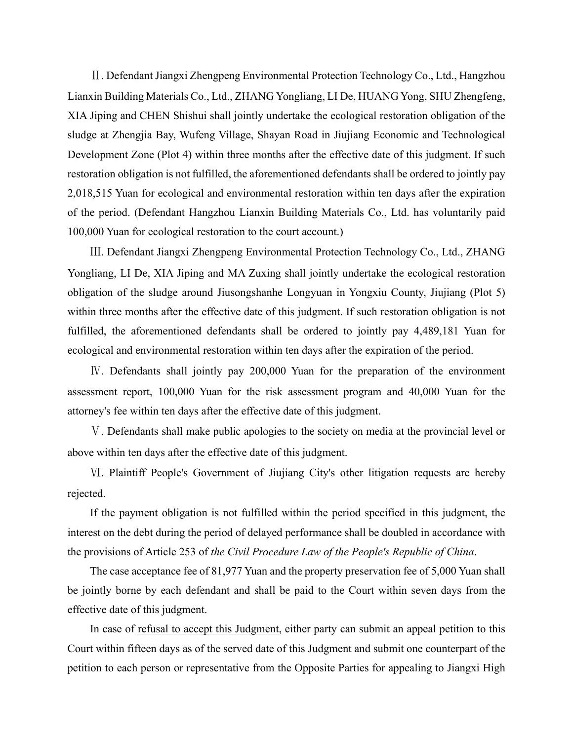Ⅱ. Defendant Jiangxi Zhengpeng Environmental Protection Technology Co., Ltd., Hangzhou Lianxin Building Materials Co., Ltd., ZHANG Yongliang, LI De, HUANG Yong, SHU Zhengfeng, XIA Jiping and CHEN Shishui shall jointly undertake the ecological restoration obligation of the sludge at Zhengjia Bay, Wufeng Village, Shayan Road in Jiujiang Economic and Technological Development Zone (Plot 4) within three months after the effective date of this judgment. If such restoration obligation is not fulfilled, the aforementioned defendants shall be ordered to jointly pay 2,018,515 Yuan for ecological and environmental restoration within ten days after the expiration of the period. (Defendant Hangzhou Lianxin Building Materials Co., Ltd. has voluntarily paid 100,000 Yuan for ecological restoration to the court account.)

Ⅲ. Defendant Jiangxi Zhengpeng Environmental Protection Technology Co., Ltd., ZHANG Yongliang, LI De, XIA Jiping and MA Zuxing shall jointly undertake the ecological restoration obligation of the sludge around Jiusongshanhe Longyuan in Yongxiu County, Jiujiang (Plot 5) within three months after the effective date of this judgment. If such restoration obligation is not fulfilled, the aforementioned defendants shall be ordered to jointly pay 4,489,181 Yuan for ecological and environmental restoration within ten days after the expiration of the period.

Ⅳ. Defendants shall jointly pay 200,000 Yuan for the preparation of the environment assessment report, 100,000 Yuan for the risk assessment program and 40,000 Yuan for the attorney's fee within ten days after the effective date of this judgment.

Ⅴ. Defendants shall make public apologies to the society on media at the provincial level or above within ten days after the effective date of this judgment.

Ⅵ. Plaintiff People's Government of Jiujiang City's other litigation requests are hereby rejected.

If the payment obligation is not fulfilled within the period specified in this judgment, the interest on the debt during the period of delayed performance shall be doubled in accordance with the provisions of Article 253 of *the Civil Procedure Law of the People's Republic of China*.

The case acceptance fee of 81,977 Yuan and the property preservation fee of 5,000 Yuan shall be jointly borne by each defendant and shall be paid to the Court within seven days from the effective date of this judgment.

In case of refusal to accept this Judgment, either party can submit an appeal petition to this Court within fifteen days as of the served date of this Judgment and submit one counterpart of the petition to each person or representative from the Opposite Parties for appealing to Jiangxi High